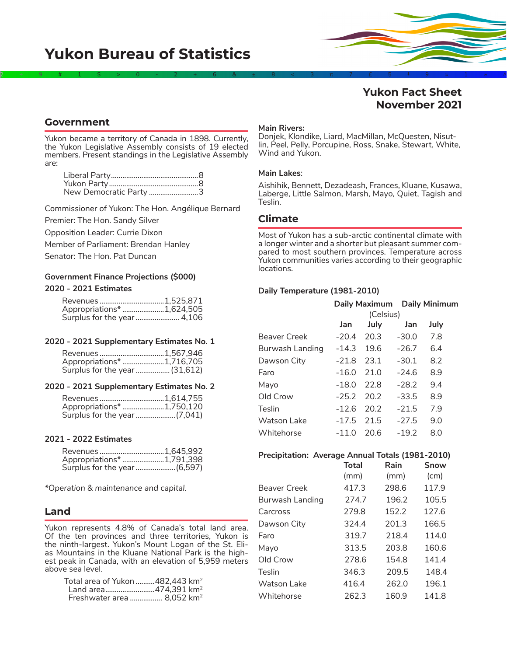

# **Yukon Fact Sheet November 2021**

## **Government**

Yukon became a territory of Canada in 1898. Currently, the Yukon Legislative Assembly consists of 19 elected members. Present standings in the Legislative Assembly are:

| New Democratic Party 3 |  |
|------------------------|--|

Commissioner of Yukon: The Hon. Angélique Bernard

Premier: The Hon. Sandy Silver

Opposition Leader: Currie Dixon

Member of Parliament: Brendan Hanley

Senator: The Hon. Pat Duncan

### **Government Finance Projections (\$000) 2020 - 2021 Estimates**

| Revenues 1,525,871         |  |
|----------------------------|--|
| Appropriations* 1,624,505  |  |
| Surplus for the year 4,106 |  |

#### **2020 - 2021 Supplementary Estimates No. 1**

| Revenues 1,567,946            |  |
|-------------------------------|--|
| Appropriations* 1,716,705     |  |
| Surplus for the year (31,612) |  |

#### **2020 - 2021 Supplementary Estimates No. 2**

| Revenues 1,614,755        |  |
|---------------------------|--|
| Appropriations* 1,750,120 |  |
|                           |  |

#### **2021 - 2022 Estimates**

| Revenues 1,645,992           |  |
|------------------------------|--|
| Appropriations* 1,791,398    |  |
| Surplus for the year (6,597) |  |

*\*Operation & maintenance and capital.*

## **Land**

Yukon represents 4.8% of Canada's total land area. Of the ten provinces and three territories, Yukon is the ninth-largest. Yukon's Mount Logan of the St. Elias Mountains in the Kluane National Park is the high-<br>est peak in Canada, with an elevation of 5,959 meters above sea level.

| Total area of Yukon 482,443 km <sup>2</sup> |  |
|---------------------------------------------|--|
| Land area474,391 km <sup>2</sup>            |  |
| Freshwater area  8,052 km <sup>2</sup>      |  |

#### **Main Rivers:**

Donjek, Klondike, Liard, MacMillan, McQuesten, Nisutlin, Peel, Pelly, Porcupine, Ross, Snake, Stewart, White, Wind and Yukon.

#### **Main Lakes**:

Aishihik, Bennett, Dezadeash, Frances, Kluane, Kusawa, Laberge, Little Salmon, Marsh, Mayo, Quiet, Tagish and Teslin.

## **Climate**

Most of Yukon has a sub-arctic continental climate with<br>a longer winter and a shorter but pleasant summer compared to most southern provinces. Temperature across Yukon communities varies according to their geographic locations.

#### **Daily Temperature (1981-2010)**

|                     |           |      |         | Daily Maximum Daily Minimum |
|---------------------|-----------|------|---------|-----------------------------|
|                     | (Celsius) |      |         |                             |
|                     | Jan       | July | Jan     | July                        |
| <b>Beaver Creek</b> | $-20.4$   | 20.3 | $-30.0$ | 7.8                         |
| Burwash Landing     | $-14.3$   | 19.6 | $-26.7$ | 6.4                         |
| Dawson City         | $-21.8$   | 23.1 | $-30.1$ | 8.2                         |
| Faro                | $-16.0$   | 21.0 | $-24.6$ | 8.9                         |
| Mayo                | $-18.0$   | 22.8 | $-28.2$ | 9.4                         |
| Old Crow            | $-25.2$   | 20.2 | $-33.5$ | 8.9                         |
| Teslin              | $-12.6$   | 20.2 | $-21.5$ | 7.9                         |
| <b>Watson Lake</b>  | $-17.5$   | 21.5 | $-27.5$ | 9.0                         |
| Whitehorse          | $-11.0$   | 20.6 | $-19.2$ | 8.0                         |

# **Precipitation: Average Annual Totals (1981-2010)**

|                 | Total | Rain  | Snow  |
|-----------------|-------|-------|-------|
|                 | (mm)  | (mm)  | (cm)  |
| Beaver Creek    | 417.3 | 298.6 | 117.9 |
| Burwash Landing | 274.7 | 196.2 | 105.5 |
| Carcross        | 279.8 | 152.2 | 127.6 |
| Dawson City     | 324.4 | 201.3 | 166.5 |
| Faro            | 319.7 | 218.4 | 114.0 |
| Mayo            | 313.5 | 203.8 | 160.6 |
| Old Crow        | 278.6 | 154.8 | 141.4 |
| Teslin          | 346.3 | 209.5 | 148.4 |
| Watson Lake     | 416.4 | 262.0 | 196.1 |
| Whitehorse      | 262.3 | 160.9 | 141.8 |
|                 |       |       |       |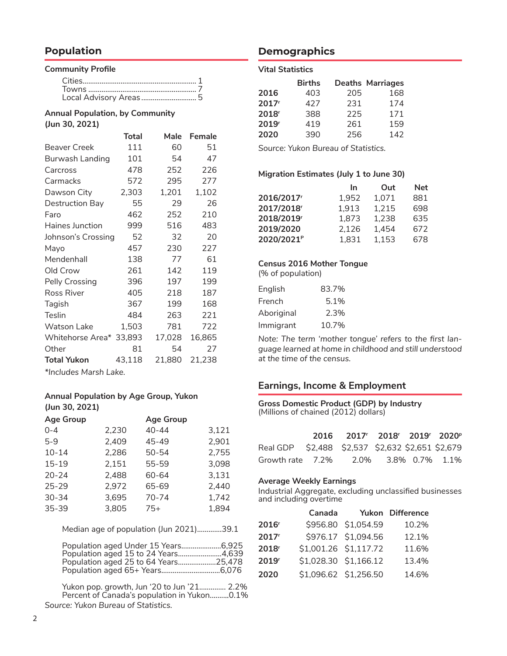# **Population**

#### **Community Profile**

| Local Advisory Areas 5 |  |
|------------------------|--|

#### **Annual Population, by Community (Jun 30, 2021)**

|                         | <b>Total</b> | Male   | <b>Female</b> |
|-------------------------|--------------|--------|---------------|
| <b>Beaver Creek</b>     | 111          | 60     | 51            |
| Burwash Landing         | 101          | 54     | 47            |
| Carcross                | 478          | 252    | 226           |
| Carmacks                | 572          | 295    | 277           |
| Dawson City             | 2,303        | 1,201  | 1,102         |
| Destruction Bay         | 55           | 29     | 26            |
| Faro                    | 462          | 252    | 210           |
| Haines Junction         | 999          | 516    | 483           |
| Johnson's Crossing      | 52           | 32     | 20            |
| Mayo                    | 457          | 230    | 227           |
| Mendenhall              | 138          | 77     | 61            |
| Old Crow                | 261          | 142    | 119           |
| Pelly Crossing          | 396          | 197    | 199           |
| Ross River              | 405          | 218    | 187           |
| Tagish                  | 367          | 199    | 168           |
| Teslin                  | 484          | 263    | 221           |
| <b>Watson Lake</b>      | 1,503        | 781    | 722           |
| Whitehorse Area* 33,893 |              | 17,028 | 16,865        |
| Other                   | 81           | 54     | 27            |
| <b>Total Yukon</b>      | 43,118       | 21,880 | 21,238        |
|                         |              |        |               |

*\*Includes Marsh Lake.*

## **Annual Population by Age Group, Yukon (Jun 30, 2021)**

| <b>Age Group</b> |       | <b>Age Group</b> |       |
|------------------|-------|------------------|-------|
| $0 - 4$          | 2,230 | $40 - 44$        | 3,121 |
| 5-9              | 2,409 | 45-49            | 2,901 |
| $10 - 14$        | 2,286 | $50 - 54$        | 2,755 |
| 15-19            | 2,151 | 55-59            | 3,098 |
| $20 - 24$        | 2,488 | 60-64            | 3,131 |
| $25 - 29$        | 2,972 | 65-69            | 2.440 |
| $30 - 34$        | 3,695 | 70-74            | 1,742 |
| $35 - 39$        | 3,805 | 75+              | 1,894 |

Median age of population (Jun 2021).............39.1

| Population aged Under 15 Years6,925  |  |
|--------------------------------------|--|
| Population aged 15 to 24 Years4,639  |  |
| Population aged 25 to 64 Years25,478 |  |
| Population aged 65+ Years6,076       |  |

Yukon pop. growth, Jun '20 to Jun '21.............. 2.2% Percent of Canada's population in Yukon.......... 0.1% *Source: Yukon Bureau of Statistics.*

## **Demographics**

#### **Vital Statistics**

|                   | <b>Births</b> |     | <b>Deaths Marriages</b> |
|-------------------|---------------|-----|-------------------------|
| 2016              | 403           | 205 | 168                     |
| 2017 <sup>r</sup> | 427           | 231 | 174                     |
| 2018 <sup>r</sup> | 388           | 225 | 171                     |
| 2019 <sup>r</sup> | 419           | 261 | 159                     |
| 2020              | 390           | 256 | 142                     |

*Source: Yukon Bureau of Statistics.*

#### **Migration Estimates (July 1 to June 30)**

|                        | In    | Out   | <b>Net</b> |
|------------------------|-------|-------|------------|
| 2016/2017              | 1,952 | 1,071 | 881        |
| 2017/2018 <sup>r</sup> | 1,913 | 1,215 | 698        |
| 2018/2019 <sup>r</sup> | 1,873 | 1,238 | 635        |
| 2019/2020              | 2,126 | 1,454 | 672        |
| 2020/2021 <sup>P</sup> | 1,831 | 1,153 | 678        |

### **Census 2016 Mother Tongue**

(% of population)

| English    | 83.7% |
|------------|-------|
| French     | 5.1%  |
| Aboriginal | 2.3%  |
| Immigrant  | 10.7% |

*Note: The term 'mother tongue' refers to the first language learned at home in childhood and still understood at the time of the census.*

### **Earnings, Income & Employment**

#### **Gross Domestic Product (GDP) by Industry** (Millions of chained (2012) dollars)

|                                                  | 2016 2017 <sup>r</sup> 2018 <sup>r</sup> 2019 <sup>r</sup> 2020 <sup>p</sup> |  |  |
|--------------------------------------------------|------------------------------------------------------------------------------|--|--|
| Real GDP \$2,488 \$2,537 \$2,632 \$2,651 \$2,679 |                                                                              |  |  |
|                                                  |                                                                              |  |  |

#### **Average Weekly Earnings**

Industrial Aggregate, excluding unclassified businesses and including overtime

|                   | Canada                |                     | Yukon Difference |
|-------------------|-----------------------|---------------------|------------------|
| 2016 <sup>r</sup> |                       | \$956.80 \$1,054.59 | 10.2%            |
| 2017 <sup>r</sup> |                       | \$976.17 \$1,094.56 | 12.1%            |
| 2018 <sup>r</sup> | \$1,001.26 \$1,117.72 |                     | 11.6%            |
| 2019 <sup>r</sup> | \$1,028.30 \$1,166.12 |                     | 13.4%            |
| 2020              | \$1,096.62 \$1,256.50 |                     | 14.6%            |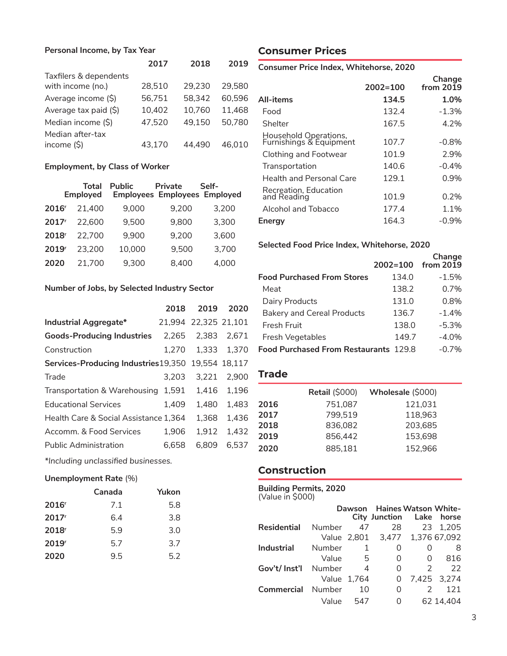## **Personal Income, by Tax Year**

|                        | 2017   | 2018   | 2019   |
|------------------------|--------|--------|--------|
| Taxfilers & dependents |        |        |        |
| with income (no.)      | 28,510 | 29.230 | 29,580 |
| Average income (\$)    | 56,751 | 58,342 | 60,596 |
| Average tax paid (\$)  | 10,402 | 10,760 | 11,468 |
| Median income (\$)     | 47,520 | 49,150 | 50,780 |
| Median after-tax       |        |        |        |
| income $(S)$           | 43,170 | 44.490 | 46.010 |

### **Employment, by Class of Worker**

|                   | <b>Total</b><br><b>Employed</b> | <b>Public</b> | Private<br><b>Employees Employees Employed</b> | Self- |
|-------------------|---------------------------------|---------------|------------------------------------------------|-------|
| 2016 <sup>r</sup> | 21.400                          | 9,000         | 9,200                                          | 3,200 |
| 2017 <sup>r</sup> | 22,600                          | 9.500         | 9,800                                          | 3,300 |
| 2018 <sup>r</sup> | 22.700                          | 9,900         | 9,200                                          | 3,600 |
| 2019 <sup>r</sup> | 23,200                          | 10,000        | 9,500                                          | 3,700 |
| 2020              | 21,700                          | 9,300         | 8,400                                          | 4.000 |

### **Number of Jobs, by Selected Industry Sector**

|                                                    | 2018  | 2019                 | 2020        |
|----------------------------------------------------|-------|----------------------|-------------|
| Industrial Aggregate*                              |       | 21,994 22,325 21,101 |             |
| <b>Goods-Producing Industries</b>                  | 2.265 | 2,383                | 2.671       |
| Construction                                       | 1.270 |                      | 1.333 1.370 |
| Services-Producing Industries 19,350 19,554 18,117 |       |                      |             |
| Trade                                              | 3.203 | 3.221                | 2.900       |
| Transportation & Warehousing                       | 1.591 | 1.416                | 1.196       |
| <b>Educational Services</b>                        | 1,409 | 1.480                | 1.483       |
| Health Care & Social Assistance 1,364              |       | 1,368                | 1.436       |
| Accomm. & Food Services                            | 1.906 | 1,912                | 1.432       |
| <b>Public Administration</b>                       | 6.658 | 6.809                | 6.537       |

*\*Including unclassified businesses.*

### **Unemployment Rate** (%)

|                   | Canada | Yukon |
|-------------------|--------|-------|
| 2016 <sup>r</sup> | 7.1    | 5.8   |
| 2017r             | 6.4    | 3.8   |
| 2018 <sup>r</sup> | 5.9    | 3.0   |
| 2019 <sup>r</sup> | 5.7    | 3.7   |
| 2020              | 9.5    | 5.2   |

# **Consumer Prices**

**Consumer Price Index, Whitehorse, 2020**

|                                                  | $2002 = 100$ | Change<br>from 2019 |
|--------------------------------------------------|--------------|---------------------|
| All-items                                        | 134.5        | 1.0%                |
| Food                                             | 132.4        | $-1.3%$             |
| Shelter                                          | 167.5        | 4.2%                |
| Household Operations,<br>Furnishings & Equipment | 107.7        | $-0.8%$             |
| Clothing and Footwear                            | 101.9        | 2.9%                |
| Transportation                                   | 140.6        | $-0.4%$             |
| Health and Personal Care                         | 129.1        | 0.9%                |
| Recreation, Education<br>and Reading             | 101.9        | 0.2%                |
| Alcohol and Tobacco                              | 177.4        | 1.1%                |
| Energy                                           | 164.3        | $-0.9%$             |

### **Selected Food Price Index, Whitehorse, 2020**

|                                              | $2002 = 100$ | Change<br>from 2019 |
|----------------------------------------------|--------------|---------------------|
| <b>Food Purchased From Stores</b>            | 134.0        | $-1.5%$             |
| Meat                                         | 138.2        | 0.7%                |
| Dairy Products                               | 131.0        | 0.8%                |
| <b>Bakery and Cereal Products</b>            | 136.7        | $-1.4%$             |
| Fresh Fruit                                  | 138.0        | $-5.3%$             |
| Fresh Vegetables                             | 149.7        | $-4.0%$             |
| <b>Food Purchased From Restaurants 129.8</b> |              | $-0.7\%$            |

## **Trade**

|      | <b>Retail (\$000)</b> | Wholesale (\$000) |
|------|-----------------------|-------------------|
| 2016 | 751,087               | 121,031           |
| 2017 | 799,519               | 118,963           |
| 2018 | 836,082               | 203,685           |
| 2019 | 856.442               | 153,698           |
| 2020 | 885,181               | 152,966           |

## **Construction**

| <b>Building Permits, 2020</b> |  |
|-------------------------------|--|
| (Value in \$000)              |  |

|                          |        |             | Dawson Haines Watson White-    |               |                      |
|--------------------------|--------|-------------|--------------------------------|---------------|----------------------|
|                          |        |             | City Junction Lake horse       |               |                      |
| <b>Residential</b>       | Number | 47          | 28                             |               | 23 1,205             |
|                          |        |             | Value 2,801 3,477 1,376 67,092 |               |                      |
| Industrial               | Number | 1           | 0                              |               | 8                    |
|                          | Value  | -5          | 0                              | 0             | 816                  |
| Gov't/ Inst'l            | Number | 4           | 0                              | $\mathcal{L}$ | 22                   |
|                          |        | Value 1.764 | 0                              |               | 7,425 3,274          |
| <b>Commercial</b> Number |        | 10          | Ω                              |               | 121<br>$\mathcal{P}$ |
|                          | Value  | 547         | 0                              |               | 62 14.404            |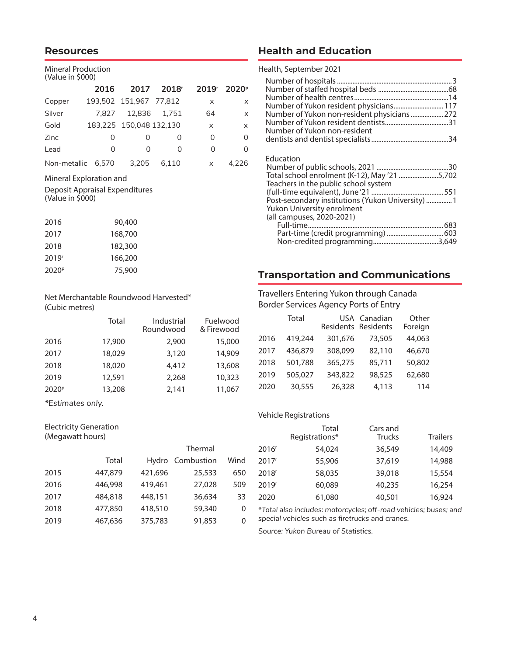## **Resources**

#### Mineral Production (Value in \$000)

| , . <del>.</del> . <del>.</del> , |       |                         |                   |                   |                   |
|-----------------------------------|-------|-------------------------|-------------------|-------------------|-------------------|
|                                   | 2016  | 2017                    | 2018 <sup>r</sup> | 2019 <sup>r</sup> | 2020 <sup>p</sup> |
| Copper                            |       | 193,502 151,967 77,812  |                   | x                 | $\times$          |
| Silver                            |       | 7.827 12.836 1.751      |                   | 64                | $\mathsf{x}$      |
| Gold                              |       | 183.225 150.048 132.130 |                   | X                 | $\times$          |
| Zinc                              | 0     | $\left( \right)$        | $\left( \right)$  | 0                 | 0                 |
| Lead                              | 0     | ∩                       | O                 | O                 | <sup>0</sup>      |
| Non-metallic                      | 6.570 | 3.205                   | 6.110             | x                 | 4.226             |

#### Mineral Exploration and

Deposit Appraisal Expenditures (Value in \$000)

| 2016              | 90,400  |
|-------------------|---------|
| 2017              | 168,700 |
| 2018              | 182,300 |
| 2019 <sup>r</sup> | 166,200 |
| 2020 <sup>p</sup> | 75,900  |

## Net Merchantable Roundwood Harvested\* (Cubic metres)

|                   | Total  | Industrial<br>Roundwood | Fuelwood<br>& Firewood |
|-------------------|--------|-------------------------|------------------------|
| 2016              | 17,900 | 2,900                   | 15,000                 |
| 2017              | 18,029 | 3,120                   | 14,909                 |
| 2018              | 18,020 | 4,412                   | 13,608                 |
| 2019              | 12,591 | 2,268                   | 10,323                 |
| 2020 <sup>p</sup> | 13,208 | 2,141                   | 11,067                 |

*\*Estimates only.*

#### Electricity Generation (Megawatt hours)

|      |         |         | Thermal          |      |
|------|---------|---------|------------------|------|
|      | Total   |         | Hydro Combustion | Wind |
| 2015 | 447,879 | 421,696 | 25,533           | 650  |
| 2016 | 446,998 | 419,461 | 27,028           | 509  |
| 2017 | 484,818 | 448,151 | 36,634           | 33   |
| 2018 | 477,850 | 418,510 | 59,340           | 0    |
| 2019 | 467,636 | 375,783 | 91,853           | 0    |

# **Health and Education**

Health, September 2021

| Number of Yukon resident physicians 117<br>Number of Yukon non-resident physicians 272<br>Number of Yukon non-resident                                                                                            |  |
|-------------------------------------------------------------------------------------------------------------------------------------------------------------------------------------------------------------------|--|
| Education<br>Total school enrolment (K-12), May '21 5,702<br>Teachers in the public school system<br>Post-secondary institutions (Yukon University)  1<br>Yukon University enrolment<br>(all campuses, 2020-2021) |  |
| Part-time (credit programming)  603                                                                                                                                                                               |  |

# **Transportation and Communications**

## Travellers Entering Yukon through Canada Border Services Agency Ports of Entry

|      | Total   | Residents Residents | USA Canadian | Other<br>Foreign |
|------|---------|---------------------|--------------|------------------|
| 2016 | 419,244 | 301,676             | 73,505       | 44,063           |
| 2017 | 436,879 | 308,099             | 82,110       | 46,670           |
| 2018 | 501,788 | 365,275             | 85,711       | 50,802           |
| 2019 | 505,027 | 343,822             | 98,525       | 62,680           |
| 2020 | 30,555  | 26,328              | 4,113        | 114              |

#### Vehicle Registrations

|                   | Total<br>Registrations* | Cars and<br>Trucks | <b>Trailers</b> |
|-------------------|-------------------------|--------------------|-----------------|
| 2016 <sup>r</sup> | 54,024                  | 36,549             | 14,409          |
| 2017 <sup>r</sup> | 55,906                  | 37,619             | 14,988          |
| 2018 <sup>r</sup> | 58,035                  | 39,018             | 15,554          |
| 2019 <sup>r</sup> | 60,089                  | 40,235             | 16,254          |
| 2020              | 61,080                  | 40,501             | 16,924          |

*\*Total also includes: motorcycles; off-road vehicles; buses; and special vehicles such as firetrucks and cranes.*

*Source: Yukon Bureau of Statistics.*